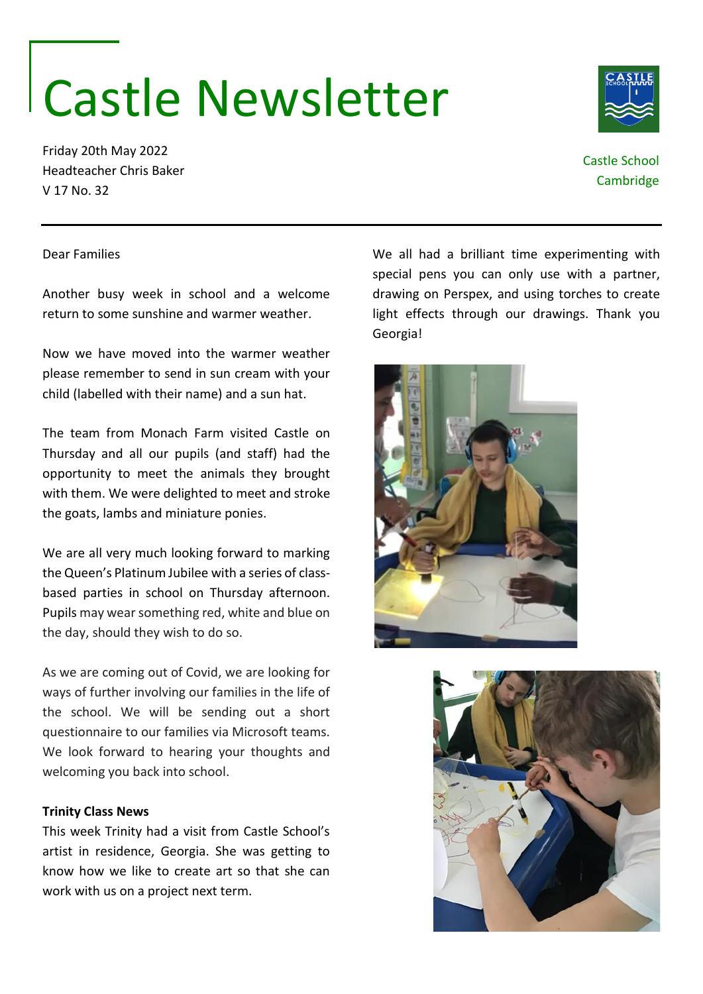## Castle Newsletter

Friday 20th May 2022 Headteacher Chris Baker V 17 No. 32

Castle School **Cambridge** 

Dear Families

Another busy week in school and a welcome return to some sunshine and warmer weather.

Now we have moved into the warmer weather please remember to send in sun cream with your child (labelled with their name) and a sun hat.

The team from Monach Farm visited Castle on Thursday and all our pupils (and staff) had the opportunity to meet the animals they brought with them. We were delighted to meet and stroke the goats, lambs and miniature ponies.

We are all very much looking forward to marking the Queen's Platinum Jubilee with a series of classbased parties in school on Thursday afternoon. Pupils may wear something red, white and blue on the day, should they wish to do so.

As we are coming out of Covid, we are looking for ways of further involving our families in the life of the school. We will be sending out a short questionnaire to our families via Microsoft teams. We look forward to hearing your thoughts and welcoming you back into school.

## **Trinity Class News**

This week Trinity had a visit from Castle School's artist in residence, Georgia. She was getting to know how we like to create art so that she can work with us on a project next term.

We all had a brilliant time experimenting with special pens you can only use with a partner, drawing on Perspex, and using torches to create light effects through our drawings. Thank you Georgia!